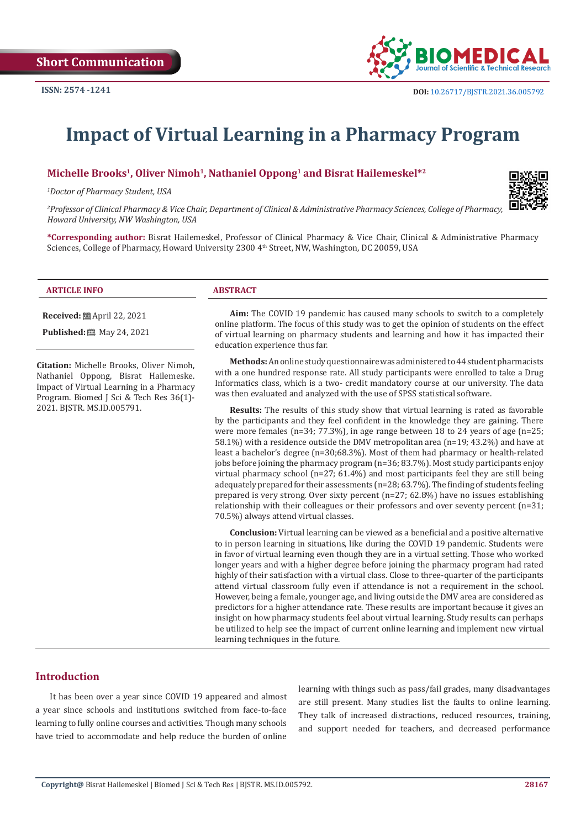

# **Impact of Virtual Learning in a Pharmacy Program**

### **Michelle Brooks1, Oliver Nimoh1, Nathaniel Oppong1 and Bisrat Hailemeskel\*2**

*1 Doctor of Pharmacy Student, USA*



*2 Professor of Clinical Pharmacy & Vice Chair, Department of Clinical & Administrative Pharmacy Sciences, College of Pharmacy, Howard University, NW Washington, USA*

**\*Corresponding author:** Bisrat Hailemeskel, Professor of Clinical Pharmacy & Vice Chair, Clinical & Administrative Pharmacy Sciences, College of Pharmacy, Howard University 2300 4<sup>th</sup> Street, NW, Washington, DC 20059, USA

| <b>ARTICLE INFO</b> | <b>ABSTRACT</b> |
|---------------------|-----------------|

**Received:** April 22, 2021

**Published:** 圖 May 24, 2021

**Citation:** Michelle Brooks, Oliver Nimoh, Nathaniel Oppong, Bisrat Hailemeske. Impact of Virtual Learning in a Pharmacy Program. Biomed J Sci & Tech Res 36(1)- 2021. BJSTR. MS.ID.005791.

**Aim:** The COVID 19 pandemic has caused many schools to switch to a completely online platform. The focus of this study was to get the opinion of students on the effect of virtual learning on pharmacy students and learning and how it has impacted their education experience thus far.

**Methods:** An online study questionnaire was administered to 44 student pharmacists with a one hundred response rate. All study participants were enrolled to take a Drug Informatics class, which is a two- credit mandatory course at our university. The data was then evaluated and analyzed with the use of SPSS statistical software.

**Results:** The results of this study show that virtual learning is rated as favorable by the participants and they feel confident in the knowledge they are gaining. There were more females (n=34; 77.3%), in age range between 18 to 24 years of age (n=25; 58.1%) with a residence outside the DMV metropolitan area (n=19; 43.2%) and have at least a bachelor's degree (n=30;68.3%). Most of them had pharmacy or health-related jobs before joining the pharmacy program (n=36; 83.7%). Most study participants enjoy virtual pharmacy school (n=27; 61.4%) and most participants feel they are still being adequately prepared for their assessments (n=28; 63.7%). The finding of students feeling prepared is very strong. Over sixty percent (n=27; 62.8%) have no issues establishing relationship with their colleagues or their professors and over seventy percent (n=31; 70.5%) always attend virtual classes.

**Conclusion:** Virtual learning can be viewed as a beneficial and a positive alternative to in person learning in situations, like during the COVID 19 pandemic. Students were in favor of virtual learning even though they are in a virtual setting. Those who worked longer years and with a higher degree before joining the pharmacy program had rated highly of their satisfaction with a virtual class. Close to three-quarter of the participants attend virtual classroom fully even if attendance is not a requirement in the school. However, being a female, younger age, and living outside the DMV area are considered as predictors for a higher attendance rate. These results are important because it gives an insight on how pharmacy students feel about virtual learning. Study results can perhaps be utilized to help see the impact of current online learning and implement new virtual learning techniques in the future.

## **Introduction**

It has been over a year since COVID 19 appeared and almost a year since schools and institutions switched from face-to-face learning to fully online courses and activities. Though many schools have tried to accommodate and help reduce the burden of online

learning with things such as pass/fail grades, many disadvantages are still present. Many studies list the faults to online learning. They talk of increased distractions, reduced resources, training, and support needed for teachers, and decreased performance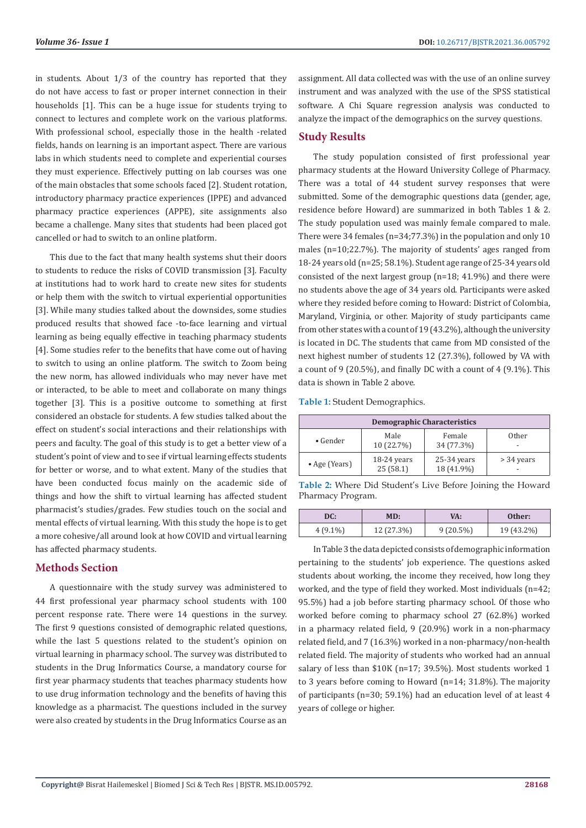in students. About 1/3 of the country has reported that they do not have access to fast or proper internet connection in their households [1]. This can be a huge issue for students trying to connect to lectures and complete work on the various platforms. With professional school, especially those in the health -related fields, hands on learning is an important aspect. There are various labs in which students need to complete and experiential courses they must experience. Effectively putting on lab courses was one of the main obstacles that some schools faced [2]. Student rotation, introductory pharmacy practice experiences (IPPE) and advanced pharmacy practice experiences (APPE), site assignments also became a challenge. Many sites that students had been placed got cancelled or had to switch to an online platform.

This due to the fact that many health systems shut their doors to students to reduce the risks of COVID transmission [3]. Faculty at institutions had to work hard to create new sites for students or help them with the switch to virtual experiential opportunities [3]. While many studies talked about the downsides, some studies produced results that showed face -to-face learning and virtual learning as being equally effective in teaching pharmacy students [4]. Some studies refer to the benefits that have come out of having to switch to using an online platform. The switch to Zoom being the new norm, has allowed individuals who may never have met or interacted, to be able to meet and collaborate on many things together [3]. This is a positive outcome to something at first considered an obstacle for students. A few studies talked about the effect on student's social interactions and their relationships with peers and faculty. The goal of this study is to get a better view of a student's point of view and to see if virtual learning effects students for better or worse, and to what extent. Many of the studies that have been conducted focus mainly on the academic side of things and how the shift to virtual learning has affected student pharmacist's studies/grades. Few studies touch on the social and mental effects of virtual learning. With this study the hope is to get a more cohesive/all around look at how COVID and virtual learning has affected pharmacy students.

## **Methods Section**

A questionnaire with the study survey was administered to 44 first professional year pharmacy school students with 100 percent response rate. There were 14 questions in the survey. The first 9 questions consisted of demographic related questions, while the last 5 questions related to the student's opinion on virtual learning in pharmacy school. The survey was distributed to students in the Drug Informatics Course, a mandatory course for first year pharmacy students that teaches pharmacy students how to use drug information technology and the benefits of having this knowledge as a pharmacist. The questions included in the survey were also created by students in the Drug Informatics Course as an

assignment. All data collected was with the use of an online survey instrument and was analyzed with the use of the SPSS statistical software. A Chi Square regression analysis was conducted to analyze the impact of the demographics on the survey questions.

## **Study Results**

The study population consisted of first professional year pharmacy students at the Howard University College of Pharmacy. There was a total of 44 student survey responses that were submitted. Some of the demographic questions data (gender, age, residence before Howard) are summarized in both Tables 1 & 2. The study population used was mainly female compared to male. There were 34 females (n=34;77.3%) in the population and only 10 males (n=10;22.7%). The majority of students' ages ranged from 18-24 years old (n=25; 58.1%). Student age range of 25-34 years old consisted of the next largest group (n=18; 41.9%) and there were no students above the age of 34 years old. Participants were asked where they resided before coming to Howard: District of Colombia, Maryland, Virginia, or other. Majority of study participants came from other states with a count of 19 (43.2%), although the university is located in DC. The students that came from MD consisted of the next highest number of students 12 (27.3%), followed by VA with a count of 9 (20.5%), and finally DC with a count of 4 (9.1%). This data is shown in Table 2 above.

**Table 1:** Student Demographics.

| <b>Demographic Characteristics</b> |                           |                             |            |  |  |
|------------------------------------|---------------------------|-----------------------------|------------|--|--|
| $\bullet$ Gender                   | Male<br>10 (22.7%)        | Female<br>34 (77.3%)        | Other      |  |  |
| • Age (Years)                      | $18-24$ years<br>25(58.1) | $25-34$ years<br>18 (41.9%) | > 34 years |  |  |

**Table 2:** Where Did Student's Live Before Joining the Howard Pharmacy Program.

| DC:        | MD:        |             | Other:     |  |
|------------|------------|-------------|------------|--|
| $4(9.1\%)$ | 12 (27.3%) | $9(20.5\%)$ | 19 (43.2%) |  |

In Table 3 the data depicted consists of demographic information pertaining to the students' job experience. The questions asked students about working, the income they received, how long they worked, and the type of field they worked. Most individuals (n=42; 95.5%) had a job before starting pharmacy school. Of those who worked before coming to pharmacy school 27 (62.8%) worked in a pharmacy related field, 9 (20.9%) work in a non-pharmacy related field, and 7 (16.3%) worked in a non-pharmacy/non-health related field. The majority of students who worked had an annual salary of less than \$10K (n=17; 39.5%). Most students worked 1 to 3 years before coming to Howard (n=14; 31.8%). The majority of participants (n=30; 59.1%) had an education level of at least 4 years of college or higher.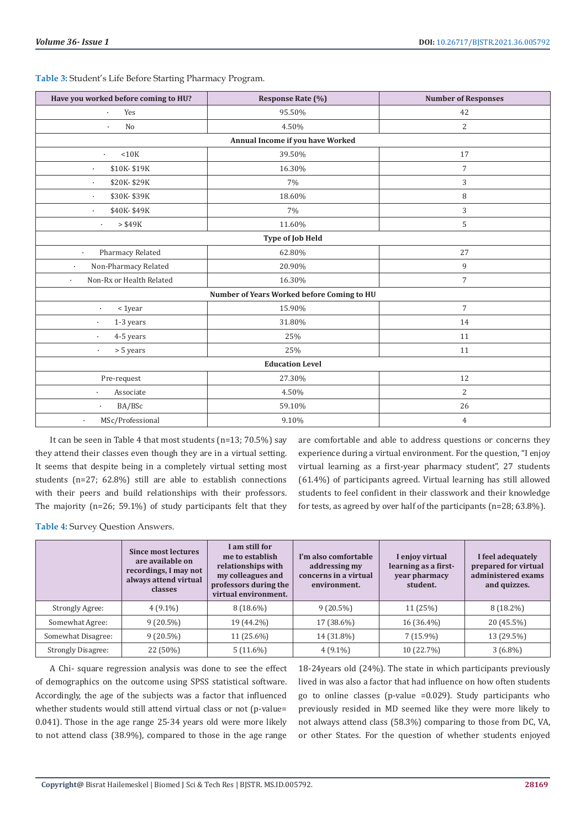| Have you worked before coming to HU?         | Response Rate (%) | <b>Number of Responses</b> |  |  |  |
|----------------------------------------------|-------------------|----------------------------|--|--|--|
| Yes<br>$\bullet$                             | 95.50%            | 42                         |  |  |  |
| No<br>$\bullet$                              | 4.50%             | 2                          |  |  |  |
| Annual Income if you have Worked             |                   |                            |  |  |  |
| < 10K<br>$\bullet$                           | 39.50%            | 17                         |  |  |  |
| \$10K-\$19K<br>$\bullet$                     | 16.30%            | $\overline{7}$             |  |  |  |
| \$20K-\$29K<br>$\ddot{\phantom{0}}$          | 7%                | 3                          |  |  |  |
| \$30K-\$39K<br>$\bullet$                     | 18.60%            | 8                          |  |  |  |
| \$40K-\$49K<br>$\ddot{\phantom{0}}$          | 7%                | 3                          |  |  |  |
| $>$ \$49 $K$<br>$\bullet$                    | 11.60%            | 5                          |  |  |  |
|                                              | Type of Job Held  |                            |  |  |  |
| Pharmacy Related<br>$\ddot{\phantom{0}}$     | 62.80%            | 27                         |  |  |  |
| Non-Pharmacy Related<br>$\ddot{\phantom{0}}$ | 20.90%            | 9                          |  |  |  |
| Non-Rx or Health Related<br>$\bullet$        | 16.30%            | $\overline{7}$             |  |  |  |
| Number of Years Worked before Coming to HU   |                   |                            |  |  |  |
| $1year$<br>$\bullet$                         | 15.90%            | $\overline{7}$             |  |  |  |
| 1-3 years<br>$\bullet$                       | 31.80%            | 14                         |  |  |  |
| 4-5 years<br>$\bullet$                       | 25%               | 11                         |  |  |  |
| > 5 years<br>$\bullet$                       | 25%               | 11                         |  |  |  |
| <b>Education Level</b>                       |                   |                            |  |  |  |
| Pre-request                                  | 27.30%            | 12                         |  |  |  |
| Associate<br>$\bullet$                       | 4.50%             | $\overline{2}$             |  |  |  |
| BA/BSc<br>$\bullet$                          | 59.10%            | 26                         |  |  |  |
| MSc/Professional<br>$\bullet$                | 9.10%             | $\overline{4}$             |  |  |  |

**Table 3:** Student's Life Before Starting Pharmacy Program.

It can be seen in Table 4 that most students (n=13; 70.5%) say they attend their classes even though they are in a virtual setting. It seems that despite being in a completely virtual setting most students (n=27; 62.8%) still are able to establish connections with their peers and build relationships with their professors. The majority (n=26; 59.1%) of study participants felt that they

are comfortable and able to address questions or concerns they experience during a virtual environment. For the question, "I enjoy virtual learning as a first-year pharmacy student", 27 students (61.4%) of participants agreed. Virtual learning has still allowed students to feel confident in their classwork and their knowledge for tests, as agreed by over half of the participants (n=28; 63.8%).

**Table 4:** Survey Question Answers.

|                           | <b>Since most lectures</b><br>are available on<br>recordings, I may not<br>always attend virtual<br>classes | I am still for<br>me to establish<br>relationships with<br>my colleagues and<br>professors during the<br>virtual environment. | I'm also comfortable<br>addressing my<br>concerns in a virtual<br>environment. | I enjoy virtual<br>learning as a first-<br>year pharmacy<br>student. | I feel adequately<br>prepared for virtual<br>administered exams<br>and quizzes. |
|---------------------------|-------------------------------------------------------------------------------------------------------------|-------------------------------------------------------------------------------------------------------------------------------|--------------------------------------------------------------------------------|----------------------------------------------------------------------|---------------------------------------------------------------------------------|
| Strongly Agree:           | $4(9.1\%)$                                                                                                  | $8(18.6\%)$                                                                                                                   | $9(20.5\%)$                                                                    | 11 (25%)                                                             | $8(18.2\%)$                                                                     |
| Somewhat Agree:           | $9(20.5\%)$                                                                                                 | 19 (44.2%)                                                                                                                    | 17 (38.6%)                                                                     | 16 (36.4%)                                                           | 20 (45.5%)                                                                      |
| Somewhat Disagree:        | $9(20.5\%)$                                                                                                 | $11(25.6\%)$                                                                                                                  | 14 (31.8%)                                                                     | $7(15.9\%)$                                                          | 13 (29.5%)                                                                      |
| <b>Strongly Disagree:</b> | 22 (50%)                                                                                                    | $5(11.6\%)$                                                                                                                   | $4(9.1\%)$                                                                     | 10 (22.7%)                                                           | $3(6.8\%)$                                                                      |

A Chi- square regression analysis was done to see the effect of demographics on the outcome using SPSS statistical software. Accordingly, the age of the subjects was a factor that influenced whether students would still attend virtual class or not (p-value= 0.041). Those in the age range 25-34 years old were more likely to not attend class (38.9%), compared to those in the age range

18-24years old (24%). The state in which participants previously lived in was also a factor that had influence on how often students go to online classes (p-value =0.029). Study participants who previously resided in MD seemed like they were more likely to not always attend class (58.3%) comparing to those from DC, VA, or other States. For the question of whether students enjoyed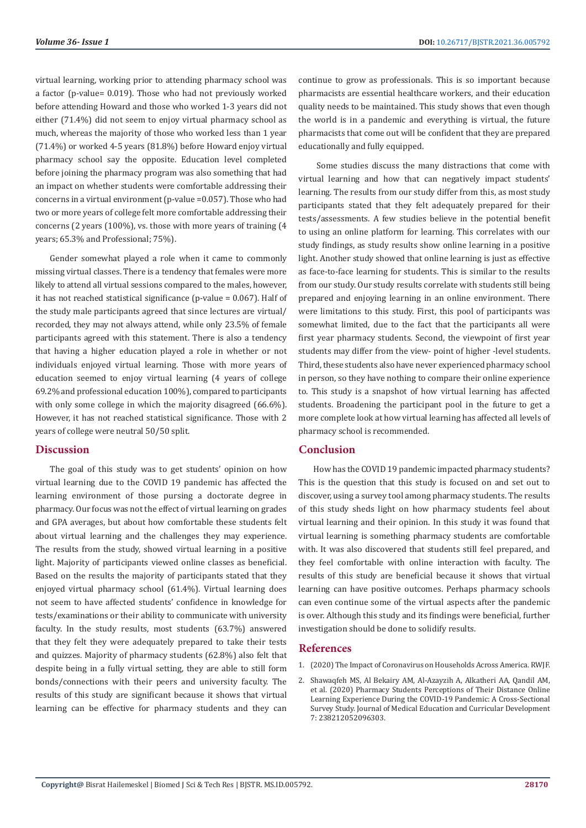virtual learning, working prior to attending pharmacy school was a factor (p-value= 0.019). Those who had not previously worked before attending Howard and those who worked 1-3 years did not either (71.4%) did not seem to enjoy virtual pharmacy school as much, whereas the majority of those who worked less than 1 year (71.4%) or worked 4-5 years (81.8%) before Howard enjoy virtual pharmacy school say the opposite. Education level completed before joining the pharmacy program was also something that had an impact on whether students were comfortable addressing their concerns in a virtual environment (p-value =0.057). Those who had two or more years of college felt more comfortable addressing their concerns (2 years (100%), vs. those with more years of training (4 years; 65.3% and Professional; 75%).

Gender somewhat played a role when it came to commonly missing virtual classes. There is a tendency that females were more likely to attend all virtual sessions compared to the males, however, it has not reached statistical significance (p-value = 0.067). Half of the study male participants agreed that since lectures are virtual/ recorded, they may not always attend, while only 23.5% of female participants agreed with this statement. There is also a tendency that having a higher education played a role in whether or not individuals enjoyed virtual learning. Those with more years of education seemed to enjoy virtual learning (4 years of college 69.2% and professional education 100%), compared to participants with only some college in which the majority disagreed (66.6%). However, it has not reached statistical significance. Those with 2 years of college were neutral 50/50 split.

### **Discussion**

The goal of this study was to get students' opinion on how virtual learning due to the COVID 19 pandemic has affected the learning environment of those pursing a doctorate degree in pharmacy. Our focus was not the effect of virtual learning on grades and GPA averages, but about how comfortable these students felt about virtual learning and the challenges they may experience. The results from the study, showed virtual learning in a positive light. Majority of participants viewed online classes as beneficial. Based on the results the majority of participants stated that they enjoyed virtual pharmacy school (61.4%). Virtual learning does not seem to have affected students' confidence in knowledge for tests/examinations or their ability to communicate with university faculty. In the study results, most students (63.7%) answered that they felt they were adequately prepared to take their tests and quizzes. Majority of pharmacy students (62.8%) also felt that despite being in a fully virtual setting, they are able to still form bonds/connections with their peers and university faculty. The results of this study are significant because it shows that virtual learning can be effective for pharmacy students and they can

continue to grow as professionals. This is so important because pharmacists are essential healthcare workers, and their education quality needs to be maintained. This study shows that even though the world is in a pandemic and everything is virtual, the future pharmacists that come out will be confident that they are prepared educationally and fully equipped.

 Some studies discuss the many distractions that come with virtual learning and how that can negatively impact students' learning. The results from our study differ from this, as most study participants stated that they felt adequately prepared for their tests/assessments. A few studies believe in the potential benefit to using an online platform for learning. This correlates with our study findings, as study results show online learning in a positive light. Another study showed that online learning is just as effective as face-to-face learning for students. This is similar to the results from our study. Our study results correlate with students still being prepared and enjoying learning in an online environment. There were limitations to this study. First, this pool of participants was somewhat limited, due to the fact that the participants all were first year pharmacy students. Second, the viewpoint of first year students may differ from the view- point of higher -level students. Third, these students also have never experienced pharmacy school in person, so they have nothing to compare their online experience to. This study is a snapshot of how virtual learning has affected students. Broadening the participant pool in the future to get a more complete look at how virtual learning has affected all levels of pharmacy school is recommended.

### **Conclusion**

How has the COVID 19 pandemic impacted pharmacy students? This is the question that this study is focused on and set out to discover, using a survey tool among pharmacy students. The results of this study sheds light on how pharmacy students feel about virtual learning and their opinion. In this study it was found that virtual learning is something pharmacy students are comfortable with. It was also discovered that students still feel prepared, and they feel comfortable with online interaction with faculty. The results of this study are beneficial because it shows that virtual learning can have positive outcomes. Perhaps pharmacy schools can even continue some of the virtual aspects after the pandemic is over. Although this study and its findings were beneficial, further investigation should be done to solidify results.

#### **References**

- 1. [\(2020\) The Impact of Coronavirus on Households Across America. RWJF.](https://www.rwjf.org/en/library/research/2020/09/the-impact-of-coronavirus-on-households-across-america.html)
- 2. [Shawaqfeh MS, Al Bekairy AM, Al-Azayzih A, Alkatheri AA, Qandil AM,](https://pubmed.ncbi.nlm.nih.gov/33088916/) [et al. \(2020\) Pharmacy Students Perceptions of Their Distance Online](https://pubmed.ncbi.nlm.nih.gov/33088916/) [Learning Experience During the COVID-19 Pandemic: A Cross-Sectional](https://pubmed.ncbi.nlm.nih.gov/33088916/) [Survey Study. Journal of Medical Education and Curricular Development](https://pubmed.ncbi.nlm.nih.gov/33088916/) [7: 238212052096303.](https://pubmed.ncbi.nlm.nih.gov/33088916/)